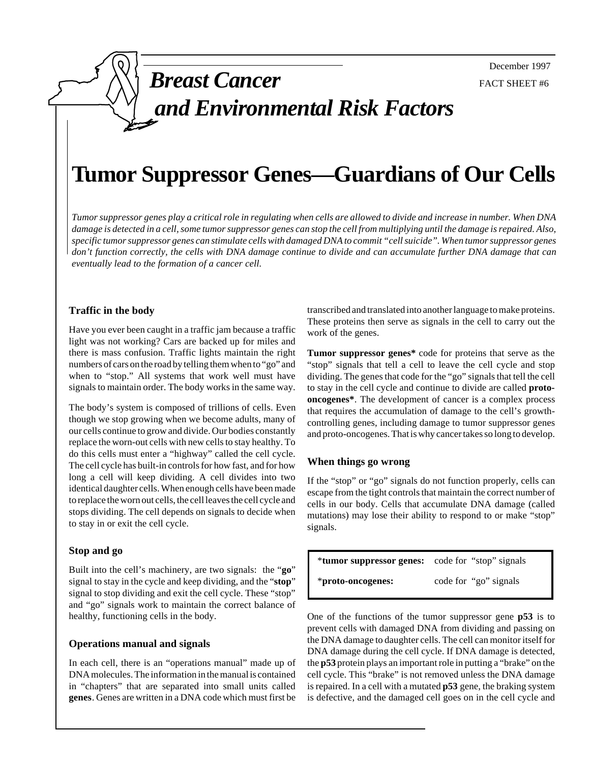## FACT SHEET #6 December 1997

# *Breast Cancer and Environmental Risk Factors*

# **Tumor Suppressor Genes—Guardians of Our Cells**

*Tumor suppressor genes play a critical role in regulating when cells are allowed to divide and increase in number. When DNA damage is detected in a cell, some tumor suppressor genes can stop the cell from multiplying until the damage is repaired. Also, specific tumor suppressor genes can stimulate cells with damaged DNA to commit "cell suicide". When tumor suppressor genes don't function correctly, the cells with DNA damage continue to divide and can accumulate further DNA damage that can eventually lead to the formation of a cancer cell.*

## **Traffic in the body**

Have you ever been caught in a traffic jam because a traffic light was not working? Cars are backed up for miles and there is mass confusion. Traffic lights maintain the right numbers of cars on the road by telling them when to "go" and when to "stop." All systems that work well must have signals to maintain order. The body works in the same way.

The body's system is composed of trillions of cells. Even though we stop growing when we become adults, many of our cells continue to grow and divide. Our bodies constantly replace the worn-out cells with new cells to stay healthy. To do this cells must enter a "highway" called the cell cycle. The cell cycle has built-in controls for how fast, and for how long a cell will keep dividing. A cell divides into two identical daughter cells. When enough cells have been made to replace the worn out cells, the cell leaves the cell cycle and stops dividing. The cell depends on signals to decide when to stay in or exit the cell cycle.

## **Stop and go**

Built into the cell's machinery, are two signals: the "**go**" signal to stay in the cycle and keep dividing, and the "**stop**" signal to stop dividing and exit the cell cycle. These "stop" and "go" signals work to maintain the correct balance of healthy, functioning cells in the body.

## **Operations manual and signals**

In each cell, there is an "operations manual" made up of DNA molecules. The information in the manual is contained in "chapters" that are separated into small units called **genes**. Genes are written in a DNA code which must first be transcribed and translated into another language to make proteins. These proteins then serve as signals in the cell to carry out the work of the genes.

**Tumor suppressor genes\*** code for proteins that serve as the "stop" signals that tell a cell to leave the cell cycle and stop dividing. The genes that code for the "go" signals that tell the cell to stay in the cell cycle and continue to divide are called **protooncogenes\***. The development of cancer is a complex process that requires the accumulation of damage to the cell's growthcontrolling genes, including damage to tumor suppressor genes and proto-oncogenes. That is why cancer takes so long to develop.

#### **When things go wrong**

If the "stop" or "go" signals do not function properly, cells can escape from the tight controls that maintain the correct number of cells in our body. Cells that accumulate DNA damage (called mutations) may lose their ability to respond to or make "stop" signals.

| <b>*tumor suppressor genes:</b> code for "stop" signals |                        |
|---------------------------------------------------------|------------------------|
| *proto-oncogenes:                                       | code for "go" signals" |

One of the functions of the tumor suppressor gene **p53** is to prevent cells with damaged DNA from dividing and passing on the DNA damage to daughter cells. The cell can monitor itself for DNA damage during the cell cycle. If DNA damage is detected, the **p53** protein plays an important role in putting a "brake" on the cell cycle. This "brake" is not removed unless the DNA damage is repaired. In a cell with a mutated **p53** gene, the braking system is defective, and the damaged cell goes on in the cell cycle and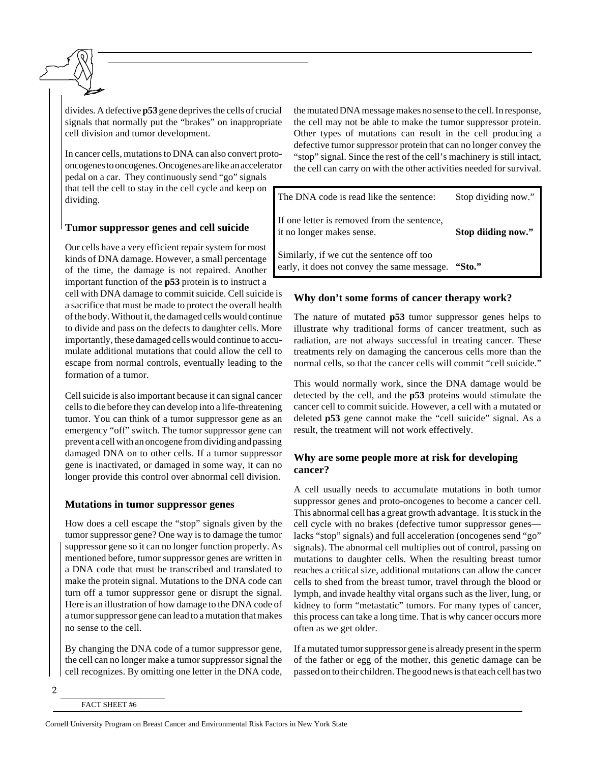divides. A defective **p53** gene deprives the cells of crucial signals that normally put the "brakes" on inappropriate cell division and tumor development.

In cancer cells, mutations to DNA can also convert protooncogenes to oncogenes. Oncogenes are like an accelerator pedal on a car. They continuously send "go" signals that tell the cell to stay in the cell cycle and keep on dividing.

#### **Tumor suppressor genes and cell suicide**

Our cells have a very efficient repair system for most kinds of DNA damage. However, a small percentage of the time, the damage is not repaired. Another important function of the **p53** protein is to instruct a cell with DNA damage to commit suicide. Cell suicide is a sacrifice that must be made to protect the overall health of the body. Without it, the damaged cells would continue to divide and pass on the defects to daughter cells. More importantly, these damaged cells would continue to accumulate additional mutations that could allow the cell to escape from normal controls, eventually leading to the formation of a tumor.

Cell suicide is also important because it can signal cancer cells to die before they can develop into a life-threatening tumor. You can think of a tumor suppressor gene as an emergency "off" switch. The tumor suppressor gene can prevent a cell with an oncogene from dividing and passing damaged DNA on to other cells. If a tumor suppressor gene is inactivated, or damaged in some way, it can no longer provide this control over abnormal cell division.

#### **Mutations in tumor suppressor genes**

How does a cell escape the "stop" signals given by the tumor suppressor gene? One way is to damage the tumor suppressor gene so it can no longer function properly. As mentioned before, tumor suppressor genes are written in a DNA code that must be transcribed and translated to make the protein signal. Mutations to the DNA code can turn off a tumor suppressor gene or disrupt the signal. Here is an illustration of how damage to the DNA code of a tumor suppressor gene can lead to a mutation that makes no sense to the cell.

By changing the DNA code of a tumor suppressor gene, the cell can no longer make a tumor suppressor signal the cell recognizes. By omitting one letter in the DNA code,

the mutated DNA message makes no sense to the cell. In response, the cell may not be able to make the tumor suppressor protein. Other types of mutations can result in the cell producing a defective tumor suppressor protein that can no longer convey the "stop" signal. Since the rest of the cell's machinery is still intact, the cell can carry on with the other activities needed for survival.

| The DNA code is read like the sentence:                                                   | Stop dividing now." |
|-------------------------------------------------------------------------------------------|---------------------|
| If one letter is removed from the sentence,<br>it no longer makes sense.                  | Stop diiding now."  |
| Similarly, if we cut the sentence off too.<br>early, it does not convey the same message. | "Sto."              |

#### **Why don't some forms of cancer therapy work?**

The nature of mutated **p53** tumor suppressor genes helps to illustrate why traditional forms of cancer treatment, such as radiation, are not always successful in treating cancer. These treatments rely on damaging the cancerous cells more than the normal cells, so that the cancer cells will commit "cell suicide."

This would normally work, since the DNA damage would be detected by the cell, and the **p53** proteins would stimulate the cancer cell to commit suicide. However, a cell with a mutated or deleted **p53** gene cannot make the "cell suicide" signal. As a result, the treatment will not work effectively.

### **Why are some people more at risk for developing cancer?**

A cell usually needs to accumulate mutations in both tumor suppressor genes and proto-oncogenes to become a cancer cell. This abnormal cell has a great growth advantage. It is stuck in the cell cycle with no brakes (defective tumor suppressor genes lacks "stop" signals) and full acceleration (oncogenes send "go" signals). The abnormal cell multiplies out of control, passing on mutations to daughter cells. When the resulting breast tumor reaches a critical size, additional mutations can allow the cancer cells to shed from the breast tumor, travel through the blood or lymph, and invade healthy vital organs such as the liver, lung, or kidney to form "metastatic" tumors. For many types of cancer, this process can take a long time. That is why cancer occurs more often as we get older.

If a mutated tumor suppressor gene is already present in the sperm of the father or egg of the mother, this genetic damage can be passed on to their children. The good news is that each cell has two

FACT SHEET #6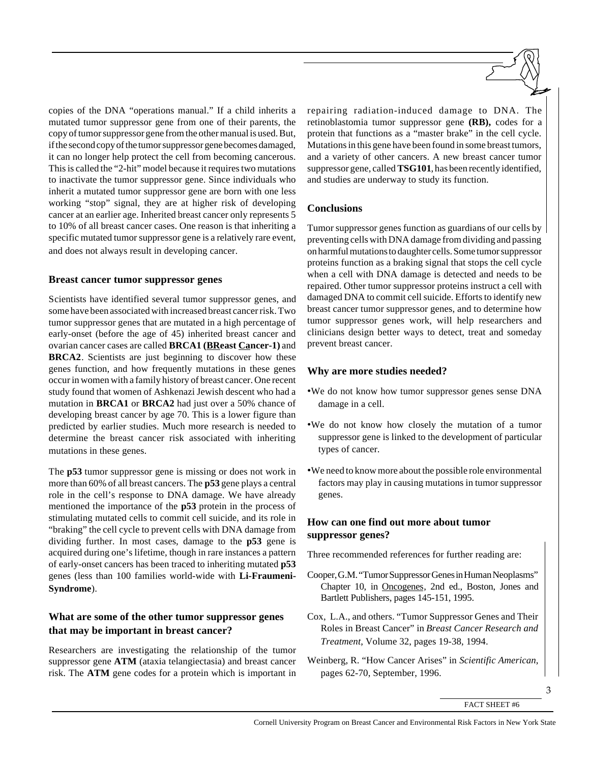copies of the DNA "operations manual." If a child inherits a mutated tumor suppressor gene from one of their parents, the copy of tumor suppressor gene from the other manual is used. But, if the second copy of the tumor suppressor gene becomes damaged, it can no longer help protect the cell from becoming cancerous. This is called the "2-hit" model because it requires two mutations to inactivate the tumor suppressor gene. Since individuals who inherit a mutated tumor suppressor gene are born with one less working "stop" signal, they are at higher risk of developing cancer at an earlier age. Inherited breast cancer only represents 5 to 10% of all breast cancer cases. One reason is that inheriting a specific mutated tumor suppressor gene is a relatively rare event, and does not always result in developing cancer.

#### **Breast cancer tumor suppressor genes**

Scientists have identified several tumor suppressor genes, and some have been associated with increased breast cancer risk. Two tumor suppressor genes that are mutated in a high percentage of early-onset (before the age of 45) inherited breast cancer and ovarian cancer cases are called **BRCA1 (BReast Cancer-1)** and **BRCA2**. Scientists are just beginning to discover how these genes function, and how frequently mutations in these genes occur in women with a family history of breast cancer. One recent study found that women of Ashkenazi Jewish descent who had a mutation in **BRCA1** or **BRCA2** had just over a 50% chance of developing breast cancer by age 70. This is a lower figure than predicted by earlier studies. Much more research is needed to determine the breast cancer risk associated with inheriting mutations in these genes.

The **p53** tumor suppressor gene is missing or does not work in more than 60% of all breast cancers. The **p53** gene plays a central role in the cell's response to DNA damage. We have already mentioned the importance of the **p53** protein in the process of stimulating mutated cells to commit cell suicide, and its role in "braking" the cell cycle to prevent cells with DNA damage from dividing further. In most cases, damage to the **p53** gene is acquired during one's lifetime, though in rare instances a pattern of early-onset cancers has been traced to inheriting mutated **p53** genes (less than 100 families world-wide with **Li-Fraumeni-Syndrome**).

## **What are some of the other tumor suppressor genes that may be important in breast cancer?**

Researchers are investigating the relationship of the tumor suppressor gene **ATM** (ataxia telangiectasia) and breast cancer risk. The **ATM** gene codes for a protein which is important in

repairing radiation-induced damage to DNA. The retinoblastomia tumor suppressor gene **(RB),** codes for a protein that functions as a "master brake" in the cell cycle. Mutations in this gene have been found in some breast tumors, and a variety of other cancers. A new breast cancer tumor suppressor gene, called **TSG101**, has been recently identified, and studies are underway to study its function.

## **Conclusions**

Tumor suppressor genes function as guardians of our cells by preventing cells with DNA damage from dividing and passing on harmful mutations to daughter cells. Some tumor suppressor proteins function as a braking signal that stops the cell cycle when a cell with DNA damage is detected and needs to be repaired. Other tumor suppressor proteins instruct a cell with damaged DNA to commit cell suicide. Efforts to identify new breast cancer tumor suppressor genes, and to determine how tumor suppressor genes work, will help researchers and clinicians design better ways to detect, treat and someday prevent breast cancer.

## **Why are more studies needed?**

- •We do not know how tumor suppressor genes sense DNA damage in a cell.
- •We do not know how closely the mutation of a tumor suppressor gene is linked to the development of particular types of cancer.
- •We need to know more about the possible role environmental factors may play in causing mutations in tumor suppressor genes.

## **How can one find out more about tumor suppressor genes?**

Three recommended references for further reading are:

- Cooper, G.M. "Tumor Suppressor Genes in Human Neoplasms" Chapter 10, in Oncogenes, 2nd ed., Boston, Jones and Bartlett Publishers, pages 145-151, 1995.
- Cox, L.A., and others. "Tumor Suppressor Genes and Their Roles in Breast Cancer" in *Breast Cancer Research and Treatment*, Volume 32, pages 19-38, 1994.
- Weinberg, R. "How Cancer Arises" in *Scientific American*, pages 62-70, September, 1996.

FACT SHEET #6

3